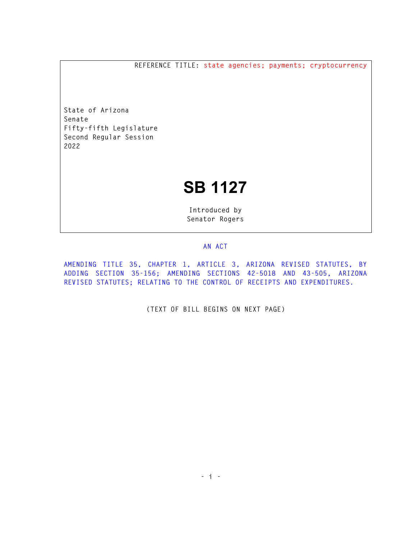**REFERENCE TITLE: state agencies; payments; cryptocurrency** 

**State of Arizona Senate Fifty-fifth Legislature Second Regular Session 2022** 

## **SB 1127**

**Introduced by Senator Rogers** 

## **AN ACT**

**AMENDING TITLE 35, CHAPTER 1, ARTICLE 3, ARIZONA REVISED STATUTES, BY ADDING SECTION 35-156; AMENDING SECTIONS 42-5018 AND 43-505, ARIZONA REVISED STATUTES; RELATING TO THE CONTROL OF RECEIPTS AND EXPENDITURES.** 

**(TEXT OF BILL BEGINS ON NEXT PAGE)**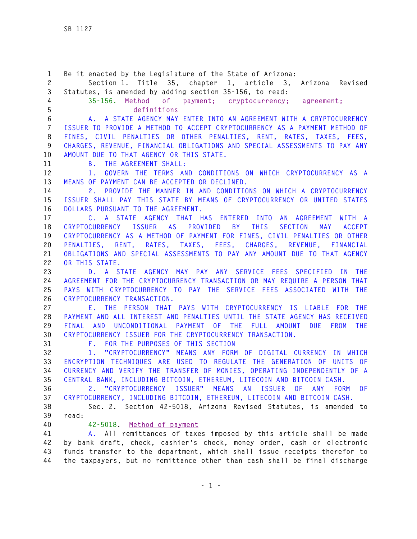**1 Be it enacted by the Legislature of the State of Arizona: 2 Section 1. Title 35, chapter 1, article 3, Arizona Revised 3 Statutes, is amended by adding section 35-156, to read: 4 35-156. Method of payment; cryptocurrency; agreement; 5 definitions 6 A. A STATE AGENCY MAY ENTER INTO AN AGREEMENT WITH A CRYPTOCURRENCY 7 ISSUER TO PROVIDE A METHOD TO ACCEPT CRYPTOCURRENCY AS A PAYMENT METHOD OF 8 FINES, CIVIL PENALTIES OR OTHER PENALTIES, RENT, RATES, TAXES, FEES, 9 CHARGES, REVENUE, FINANCIAL OBLIGATIONS AND SPECIAL ASSESSMENTS TO PAY ANY 10 AMOUNT DUE TO THAT AGENCY OR THIS STATE. 11 B. THE AGREEMENT SHALL: 12 1. GOVERN THE TERMS AND CONDITIONS ON WHICH CRYPTOCURRENCY AS A 13 MEANS OF PAYMENT CAN BE ACCEPTED OR DECLINED. 14 2. PROVIDE THE MANNER IN AND CONDITIONS ON WHICH A CRYPTOCURRENCY 15 ISSUER SHALL PAY THIS STATE BY MEANS OF CRYPTOCURRENCY OR UNITED STATES 16 DOLLARS PURSUANT TO THE AGREEMENT. 17 C. A STATE AGENCY THAT HAS ENTERED INTO AN AGREEMENT WITH A 18 CRYPTOCURRENCY ISSUER AS PROVIDED BY THIS SECTION MAY ACCEPT 19 CRYPTOCURRENCY AS A METHOD OF PAYMENT FOR FINES, CIVIL PENALTIES OR OTHER 20 PENALTIES, RENT, RATES, TAXES, FEES, CHARGES, REVENUE, FINANCIAL 21 OBLIGATIONS AND SPECIAL ASSESSMENTS TO PAY ANY AMOUNT DUE TO THAT AGENCY 22 OR THIS STATE. 23 D. A STATE AGENCY MAY PAY ANY SERVICE FEES SPECIFIED IN THE 24 AGREEMENT FOR THE CRYPTOCURRENCY TRANSACTION OR MAY REQUIRE A PERSON THAT 25 PAYS WITH CRYPTOCURRENCY TO PAY THE SERVICE FEES ASSOCIATED WITH THE 26 CRYPTOCURRENCY TRANSACTION. 27 E. THE PERSON THAT PAYS WITH CRYPTOCURRENCY IS LIABLE FOR THE 28 PAYMENT AND ALL INTEREST AND PENALTIES UNTIL THE STATE AGENCY HAS RECEIVED 29 FINAL AND UNCONDITIONAL PAYMENT OF THE FULL AMOUNT DUE FROM THE 30 CRYPTOCURRENCY ISSUER FOR THE CRYPTOCURRENCY TRANSACTION. 31 F. FOR THE PURPOSES OF THIS SECTION 32 1. "CRYPTOCURRENCY" MEANS ANY FORM OF DIGITAL CURRENCY IN WHICH 33 ENCRYPTION TECHNIQUES ARE USED TO REGULATE THE GENERATION OF UNITS OF 34 CURRENCY AND VERIFY THE TRANSFER OF MONIES, OPERATING INDEPENDENTLY OF A 35 CENTRAL BANK, INCLUDING BITCOIN, ETHEREUM, LITECOIN AND BITCOIN CASH. 36 2. "CRYPTOCURRENCY ISSUER" MEANS AN ISSUER OF ANY FORM OF 37 CRYPTOCURRENCY, INCLUDING BITCOIN, ETHEREUM, LITECOIN AND BITCOIN CASH. 38 Sec. 2. Section 42-5018, Arizona Revised Statutes, is amended to 39 read: 40 42-5018. Method of payment 41 A. All remittances of taxes imposed by this article shall be made 42 by bank draft, check, cashier's check, money order, cash or electronic 43 funds transfer to the department, which shall issue receipts therefor to** 

**44 the taxpayers, but no remittance other than cash shall be final discharge**